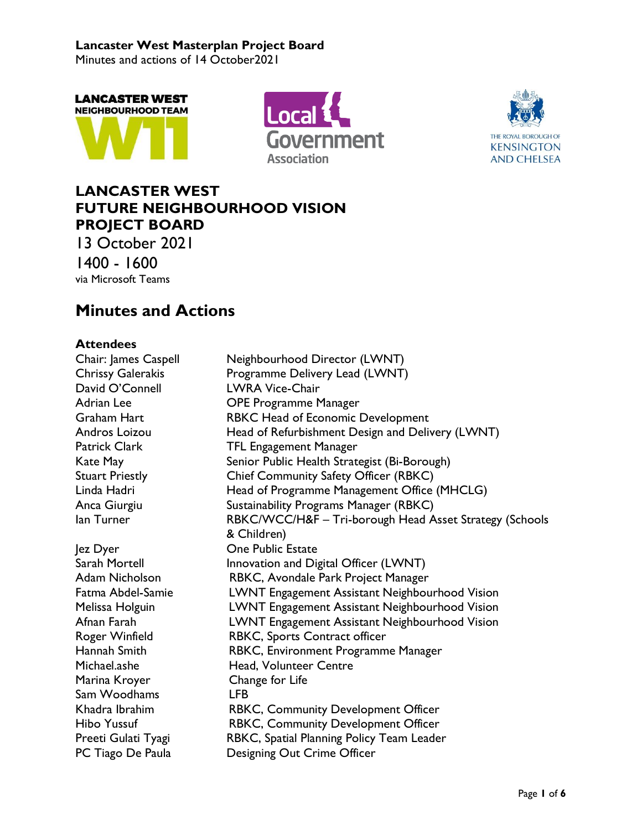Minutes and actions of 14 October2021







## **LANCASTER WEST FUTURE NEIGHBOURHOOD VISION PROJECT BOARD**

13 October 2021 1400 - 1600 via Microsoft Teams

# **Minutes and Actions**

## **Attendees**

| Auunuus                  |                                                         |
|--------------------------|---------------------------------------------------------|
| Chair: James Caspell     | Neighbourhood Director (LWNT)                           |
| <b>Chrissy Galerakis</b> | Programme Delivery Lead (LWNT)                          |
| David O'Connell          | <b>LWRA Vice-Chair</b>                                  |
| Adrian Lee               | <b>OPE Programme Manager</b>                            |
| Graham Hart              | RBKC Head of Economic Development                       |
| Andros Loizou            | Head of Refurbishment Design and Delivery (LWNT)        |
| Patrick Clark            | <b>TFL Engagement Manager</b>                           |
| Kate May                 | Senior Public Health Strategist (Bi-Borough)            |
| <b>Stuart Priestly</b>   | Chief Community Safety Officer (RBKC)                   |
| Linda Hadri              | Head of Programme Management Office (MHCLG)             |
| Anca Giurgiu             | Sustainability Programs Manager (RBKC)                  |
| lan Turner               | RBKC/WCC/H&F - Tri-borough Head Asset Strategy (Schools |
|                          | & Children)                                             |
| lez Dyer                 | <b>One Public Estate</b>                                |
| Sarah Mortell            | Innovation and Digital Officer (LWNT)                   |
| Adam Nicholson           | RBKC, Avondale Park Project Manager                     |
| Fatma Abdel-Samie        | LWNT Engagement Assistant Neighbourhood Vision          |
| Melissa Holguin          | LWNT Engagement Assistant Neighbourhood Vision          |
| Afnan Farah              | LWNT Engagement Assistant Neighbourhood Vision          |
| Roger Winfield           | RBKC, Sports Contract officer                           |
| Hannah Smith             | RBKC, Environment Programme Manager                     |
| Michael.ashe             | Head, Volunteer Centre                                  |
| Marina Kroyer            | Change for Life                                         |
| Sam Woodhams             | <b>LFB</b>                                              |
| Khadra Ibrahim           | RBKC, Community Development Officer                     |
| <b>Hibo Yussuf</b>       | RBKC, Community Development Officer                     |
| Preeti Gulati Tyagi      | RBKC, Spatial Planning Policy Team Leader               |
| PC Tiago De Paula        | Designing Out Crime Officer                             |
|                          |                                                         |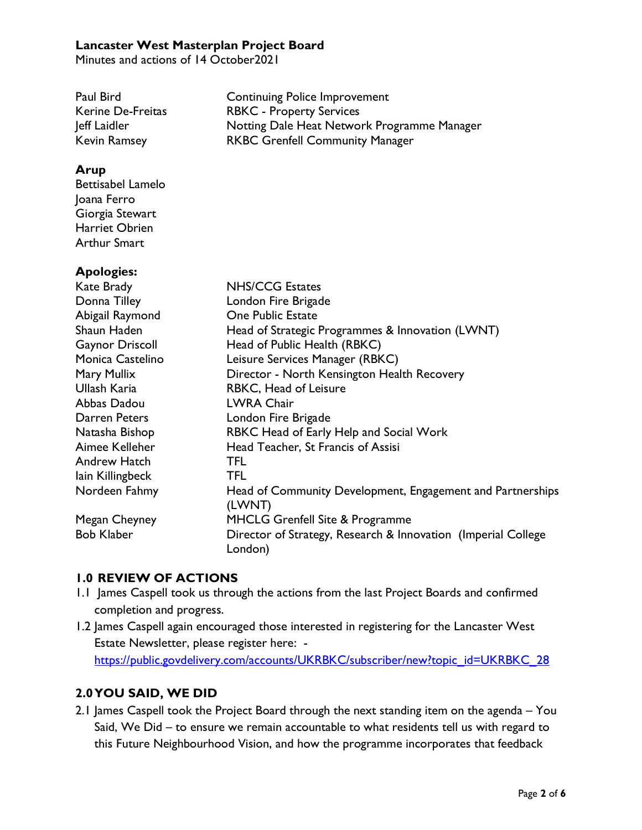Minutes and actions of 14 October2021

| Paul Bird                | <b>Continuing Police Improvement</b>        |
|--------------------------|---------------------------------------------|
| <b>Kerine De-Freitas</b> | <b>RBKC - Property Services</b>             |
| Jeff Laidler             | Notting Dale Heat Network Programme Manager |
| <b>Kevin Ramsey</b>      | <b>RKBC Grenfell Community Manager</b>      |

### **Arup**

Bettisabel Lamelo Joana Ferro Giorgia Stewart Harriet Obrien Arthur Smart

## **Apologies:**

| Kate Brady             | <b>NHS/CCG Estates</b>                                                   |
|------------------------|--------------------------------------------------------------------------|
| Donna Tilley           | London Fire Brigade                                                      |
| Abigail Raymond        | <b>One Public Estate</b>                                                 |
| Shaun Haden            | Head of Strategic Programmes & Innovation (LWNT)                         |
| <b>Gaynor Driscoll</b> | Head of Public Health (RBKC)                                             |
| Monica Castelino       | Leisure Services Manager (RBKC)                                          |
| Mary Mullix            | Director - North Kensington Health Recovery                              |
| Ullash Karia           | RBKC, Head of Leisure                                                    |
| Abbas Dadou            | <b>LWRA Chair</b>                                                        |
| Darren Peters          | London Fire Brigade                                                      |
| Natasha Bishop         | RBKC Head of Early Help and Social Work                                  |
| Aimee Kelleher         | Head Teacher, St Francis of Assisi                                       |
| Andrew Hatch           | <b>TFL</b>                                                               |
| lain Killingbeck       | <b>TFL</b>                                                               |
| Nordeen Fahmy          | Head of Community Development, Engagement and Partnerships               |
|                        | (LWNT)                                                                   |
| Megan Cheyney          | <b>MHCLG Grenfell Site &amp; Programme</b>                               |
| <b>Bob Klaber</b>      | Director of Strategy, Research & Innovation (Imperial College<br>London) |

## **1.0 REVIEW OF ACTIONS**

- 1.1 James Caspell took us through the actions from the last Project Boards and confirmed completion and progress.
- 1.2 James Caspell again encouraged those interested in registering for the Lancaster West Estate Newsletter, please register here: [https://public.govdelivery.com/accounts/UKRBKC/subscriber/new?topic\\_id=UKRBKC\\_28](https://public.govdelivery.com/accounts/UKRBKC/subscriber/new?topic_id=UKRBKC_28)

## **2.0YOU SAID, WE DID**

2.1 James Caspell took the Project Board through the next standing item on the agenda – You Said, We Did – to ensure we remain accountable to what residents tell us with regard to this Future Neighbourhood Vision, and how the programme incorporates that feedback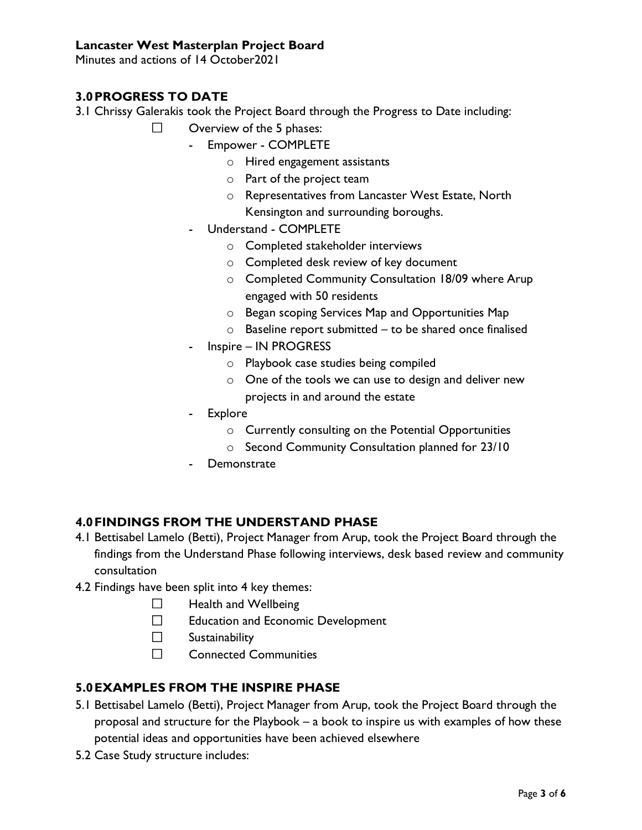Minutes and actions of 14 October2021

## **3.0PROGRESS TO DATE**

- 3.1 Chrissy Galerakis took the Project Board through the Progress to Date including:
	- Overview of the 5 phases:  $\Box$ 
		- Empower COMPLETE
			- o Hired engagement assistants
			- o Part of the project team
			- o Representatives from Lancaster West Estate, North Kensington and surrounding boroughs.
		- Understand COMPLETE
			- o Completed stakeholder interviews
			- o Completed desk review of key document
			- o Completed Community Consultation 18/09 where Arup engaged with 50 residents
			- o Began scoping Services Map and Opportunities Map
			- $\circ$  Baseline report submitted to be shared once finalised
		- Inspire IN PROGRESS
			- o Playbook case studies being compiled
			- o One of the tools we can use to design and deliver new projects in and around the estate
		- Explore
			- o Currently consulting on the Potential Opportunities
			- o Second Community Consultation planned for 23/10
		- **Demonstrate**

## **4.0FINDINGS FROM THE UNDERSTAND PHASE**

- 4.1 Bettisabel Lamelo (Betti), Project Manager from Arup, took the Project Board through the findings from the Understand Phase following interviews, desk based review and community consultation
- 4.2 Findings have been split into 4 key themes:
	- $\Box$ Health and Wellbeing
	- $\Box$ Education and Economic Development
	- $\Box$ **Sustainability**
	- П. Connected Communities

## **5.0EXAMPLES FROM THE INSPIRE PHASE**

- 5.1 Bettisabel Lamelo (Betti), Project Manager from Arup, took the Project Board through the proposal and structure for the Playbook – a book to inspire us with examples of how these potential ideas and opportunities have been achieved elsewhere
- 5.2 Case Study structure includes: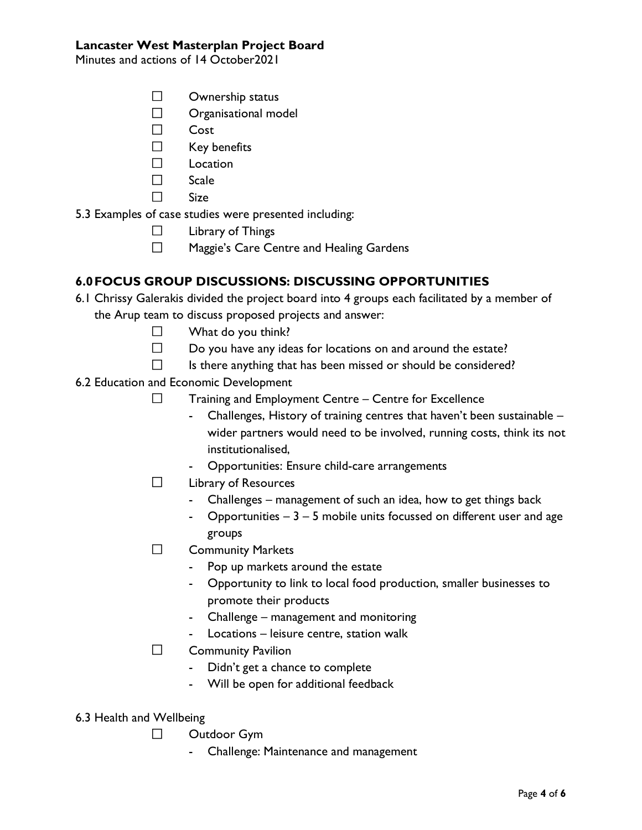Minutes and actions of 14 October2021

- $\Box$ Ownership status
- $\Box$ Organisational model
- $\Box$ Cost
- $\Box$ Key benefits
- $\Box$ Location
- $\Box$ Scale
- Size  $\Box$

5.3 Examples of case studies were presented including:

- $\Box$ Library of Things
- $\Box$ Maggie's Care Centre and Healing Gardens

## **6.0FOCUS GROUP DISCUSSIONS: DISCUSSING OPPORTUNITIES**

- 6.1 Chrissy Galerakis divided the project board into 4 groups each facilitated by a member of the Arup team to discuss proposed projects and answer:
	- $\Box$ What do you think?
	- $\Box$ Do you have any ideas for locations on and around the estate?
	- $\Box$ Is there anything that has been missed or should be considered?
- 6.2 Education and Economic Development
	- $\Box$ Training and Employment Centre – Centre for Excellence
		- Challenges, History of training centres that haven't been sustainable wider partners would need to be involved, running costs, think its not institutionalised,
		- Opportunities: Ensure child-care arrangements
	- $\Box$ Library of Resources
		- Challenges management of such an idea, how to get things back
		- Opportunities  $-3 5$  mobile units focussed on different user and age groups
	- $\Box$ Community Markets
		- Pop up markets around the estate
		- Opportunity to link to local food production, smaller businesses to promote their products
		- Challenge management and monitoring
		- Locations leisure centre, station walk
	- $\Box$ Community Pavilion
		- Didn't get a chance to complete
		- Will be open for additional feedback
- 6.3 Health and Wellbeing
	- $\Box$ Outdoor Gym
		- Challenge: Maintenance and management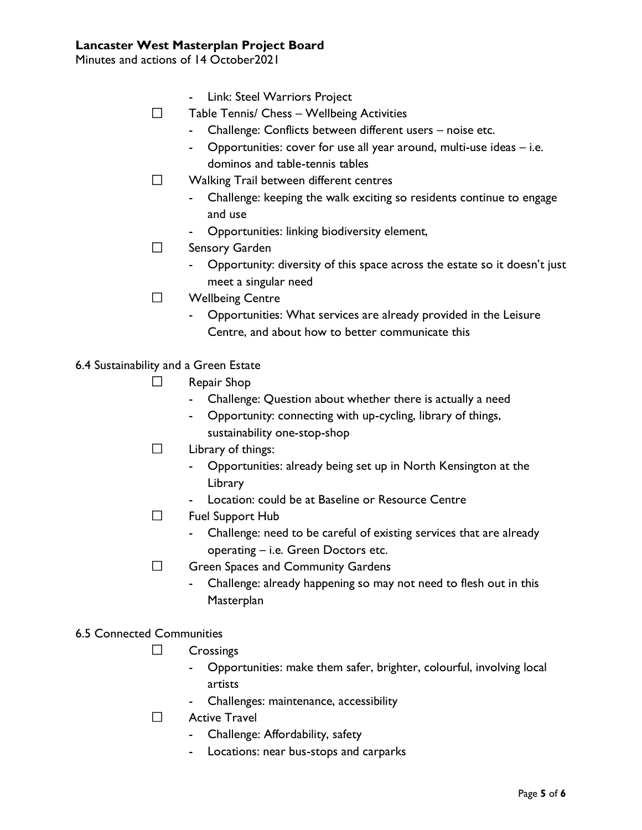Minutes and actions of 14 October2021

- Link: Steel Warriors Project
- $\Box$ Table Tennis/ Chess – Wellbeing Activities
	- Challenge: Conflicts between different users noise etc.
	- Opportunities: cover for use all year around, multi-use ideas i.e. dominos and table-tennis tables
- $\Box$ Walking Trail between different centres
	- Challenge: keeping the walk exciting so residents continue to engage and use
	- Opportunities: linking biodiversity element,
- $\Box$ Sensory Garden
	- Opportunity: diversity of this space across the estate so it doesn't just meet a singular need
- $\Box$ Wellbeing Centre
	- Opportunities: What services are already provided in the Leisure Centre, and about how to better communicate this

6.4 Sustainability and a Green Estate

- $\Box$ Repair Shop
	- Challenge: Question about whether there is actually a need
	- Opportunity: connecting with up-cycling, library of things, sustainability one-stop-shop
- $\Box$ Library of things:
	- Opportunities: already being set up in North Kensington at the Library
	- Location: could be at Baseline or Resource Centre
- $\Box$ Fuel Support Hub
	- Challenge: need to be careful of existing services that are already operating – i.e. Green Doctors etc.
- $\Box$ Green Spaces and Community Gardens
	- Challenge: already happening so may not need to flesh out in this **Masterplan**

#### 6.5 Connected Communities

- $\Box$ **Crossings** 
	- Opportunities: make them safer, brighter, colourful, involving local artists
	- Challenges: maintenance, accessibility
- $\Box$ Active Travel
	- Challenge: Affordability, safety
	- Locations: near bus-stops and carparks